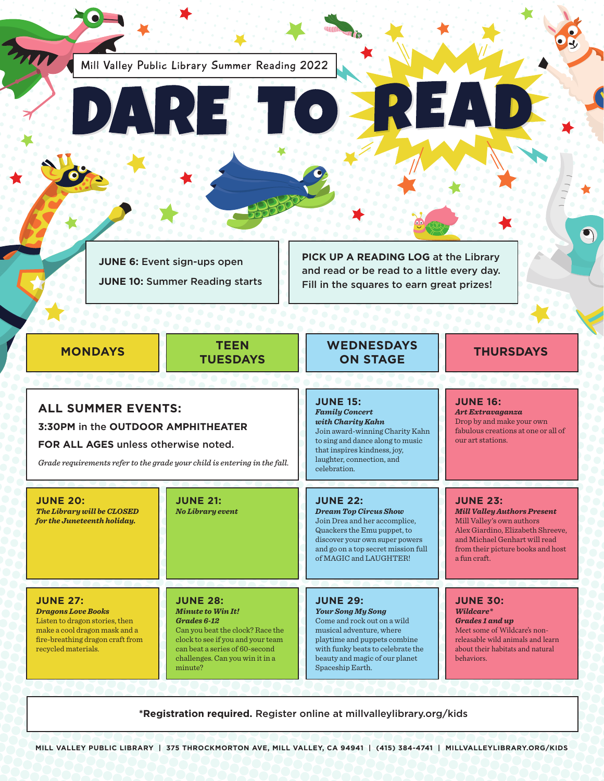Mill Valley Public Library Summer Reading 2022

**JUNE 6:** Event sign-ups open **JUNE 10:** Summer Reading starts **PICK UP A READING LOG** at the Library and read or be read to a little every day. Fill in the squares to earn great prizes!

**MONDAYS TEEN**

**ALL SUMMER EVENTS:**

**3:30PM** in the **OUTDOOR AMPHITHEATER FOR ALL AGES** unless otherwise noted.

*Grade requirements refer to the grade your child is entering in the fall.*

**JUNE 27:**  *Dragons Love Books* Listen to dragon stories, then make a cool dragon mask and a fire-breathing dragon craft from

**JUNE 20:** 

*The Library will be CLOSED for the Juneteenth holiday.*

recycled materials.

**TUESDAYS**

**JUNE 28:**  *Minute to Win It! Grades 6-12*

**JUNE 21:**  *No Library event*

minute?

Can you beat the clock? Race the clock to see if you and your team can beat a series of 60-second challenges. Can you win it in a

# **ON STAGE THURSDAYS**

**WEDNESDAYS**

**JUNE 15:**  *Family Concert with Charity Kahn* Join award-winning Charity Kahn to sing and dance along to music that inspires kindness, joy, laughter, connection, and celebration.

**JUNE 22:**  *Dream Top Circus Show* Join Drea and her accomplice, Quackers the Emu puppet, to discover your own super powers and go on a top secret mission full of MAGIC and LAUGHTER!

**JUNE 29:**  *Your Song My Song* Come and rock out on a wild musical adventure, where playtime and puppets combine with funky beats to celebrate the beauty and magic of our planet Spaceship Earth.

**JUNE 30:**  *Wildcare\**

a fun craft.

**JUNE 16:**  *Art Extravaganza* Drop by and make your own fabulous creations at one or all of

 $\mathbf{Z}$ 

our art stations.

**JUNE 23:** 

*Grades 1 and up* Meet some of Wildcare's nonreleasable wild animals and learn about their habitats and natural behaviors.

*Mill Valley Authors Present*  Mill Valley's own authors Alex Giardino, Elizabeth Shreeve, and Michael Genhart will read from their picture books and host

**\*Registration required.** Register online at [millvalleylibrary.org/kids](https://www.millvalleylibrary.org/380/Children)

 $\bullet$